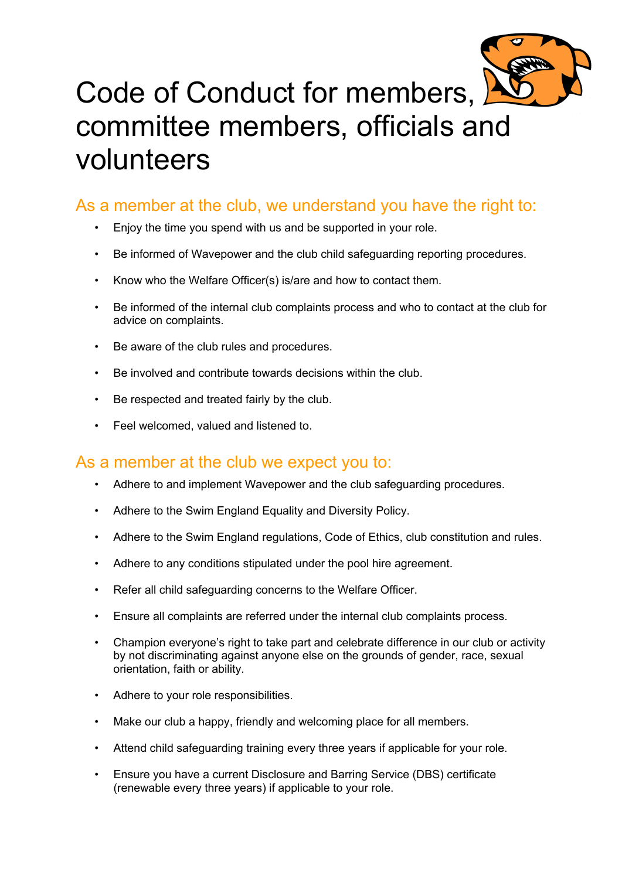

## Code of Conduct for members, committee members, officials and volunteers

## As a member at the club, we understand you have the right to:

- Enjoy the time you spend with us and be supported in your role.
- Be informed of Wavepower and the club child safeguarding reporting procedures.
- Know who the Welfare Officer(s) is/are and how to contact them.
- Be informed of the internal club complaints process and who to contact at the club for advice on complaints.
- Be aware of the club rules and procedures.
- Be involved and contribute towards decisions within the club.
- Be respected and treated fairly by the club.
- Feel welcomed, valued and listened to.

## As a member at the club we expect you to:

- Adhere to and implement Wavepower and the club safeguarding procedures.
- Adhere to the Swim England Equality and Diversity Policy.
- Adhere to the Swim England regulations, Code of Ethics, club constitution and rules.
- Adhere to any conditions stipulated under the pool hire agreement.
- Refer all child safeguarding concerns to the Welfare Officer.
- Ensure all complaints are referred under the internal club complaints process.
- Champion everyone's right to take part and celebrate difference in our club or activity by not discriminating against anyone else on the grounds of gender, race, sexual orientation, faith or ability.
- Adhere to your role responsibilities.
- Make our club a happy, friendly and welcoming place for all members.
- Attend child safeguarding training every three years if applicable for your role.
- Ensure you have a current Disclosure and Barring Service (DBS) certificate (renewable every three years) if applicable to your role.